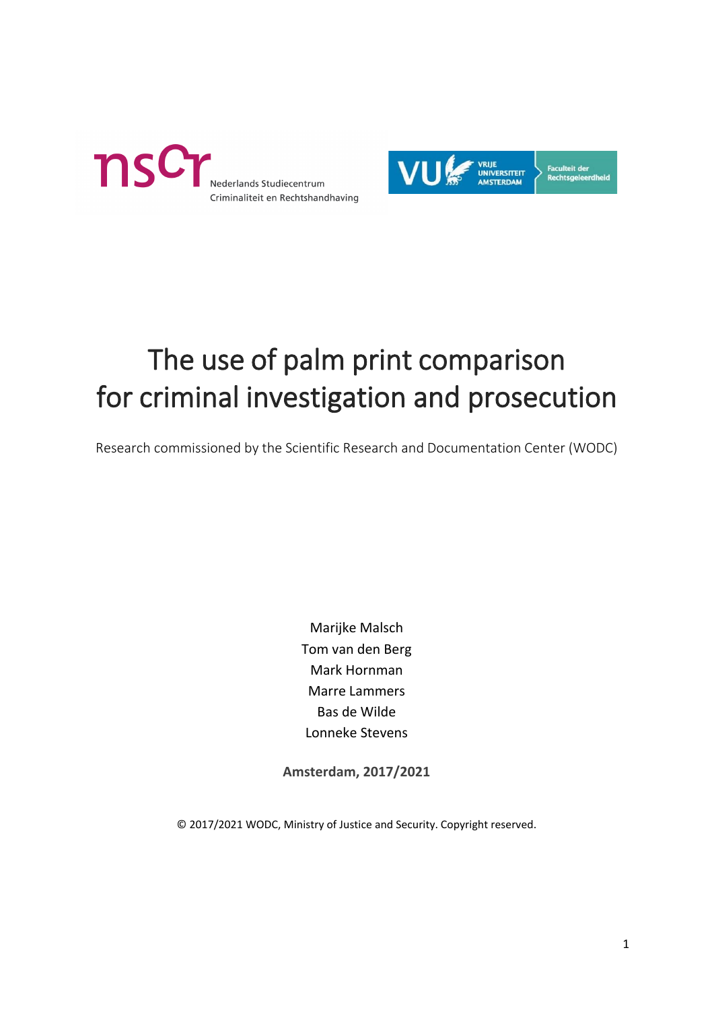



# The use of palm print comparison for criminal investigation and prosecution

Research commissioned by the Scientific Research and Documentation Center (WODC)

Marijke Malsch Tom van den Berg Mark Hornman Marre Lammers Bas de Wilde Lonneke Stevens

**Amsterdam, 2017/2021**

© 2017/2021 WODC, Ministry of Justice and Security. Copyright reserved.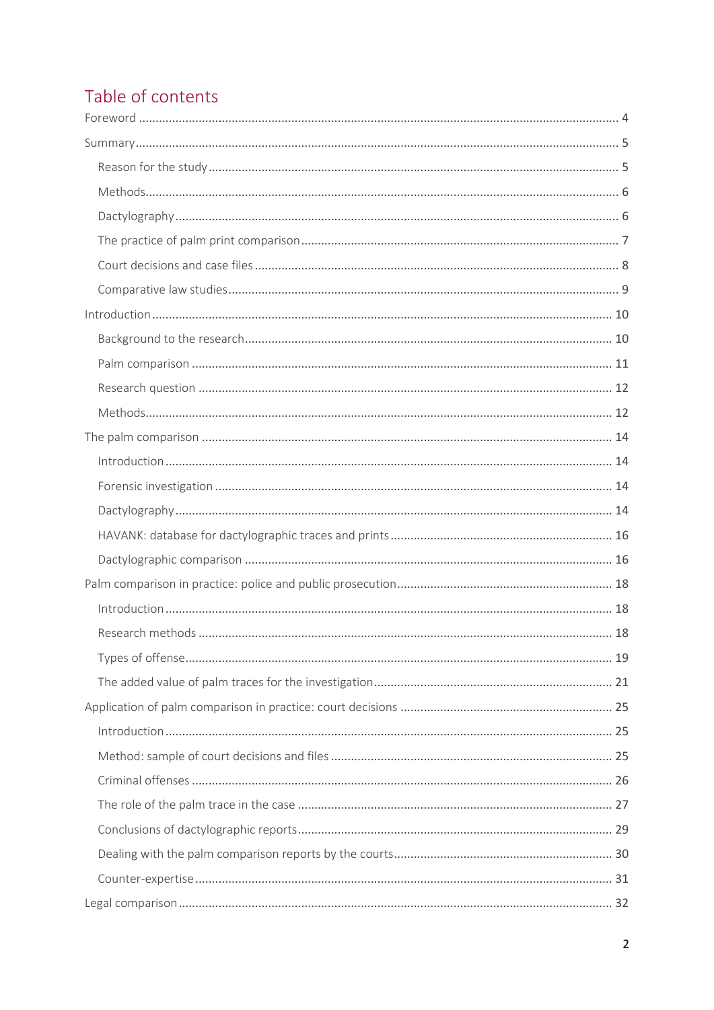# Table of contents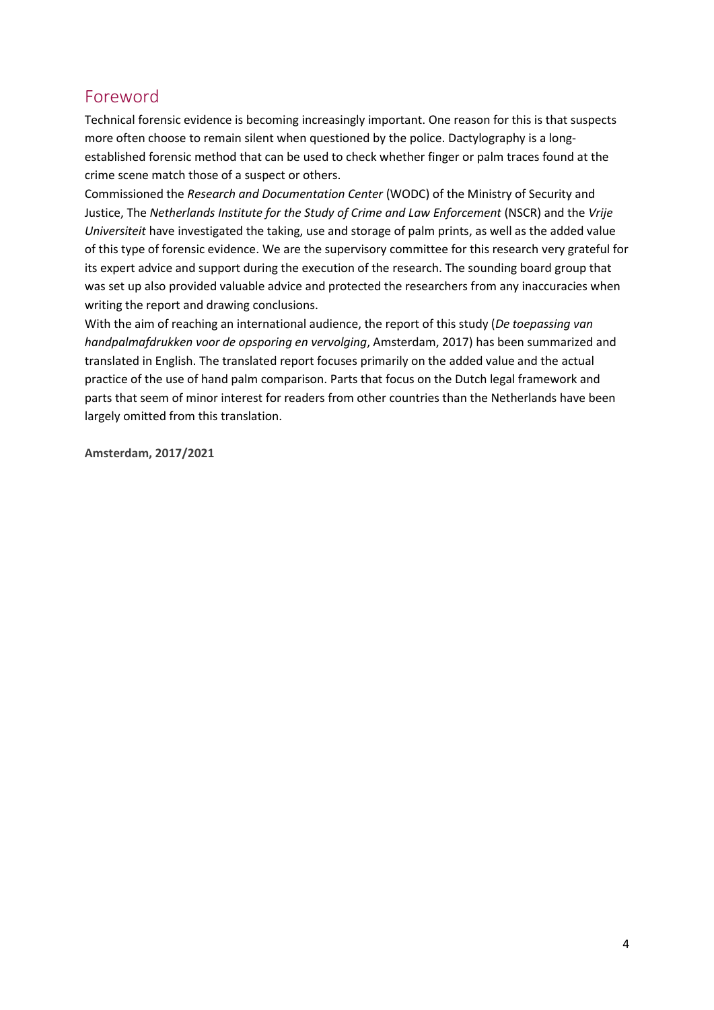# <span id="page-4-0"></span>Foreword

Technical forensic evidence is becoming increasingly important. One reason for this is that suspects more often choose to remain silent when questioned by the police. Dactylography is a longestablished forensic method that can be used to check whether finger or palm traces found at the crime scene match those of a suspect or others.

Commissioned the *Research and Documentation Center* (WODC) of the Ministry of Security and Justice, The *Netherlands Institute for the Study of Crime and Law Enforcement* (NSCR) and the *Vrije Universiteit* have investigated the taking, use and storage of palm prints, as well as the added value of this type of forensic evidence. We are the supervisory committee for this research very grateful for its expert advice and support during the execution of the research. The sounding board group that was set up also provided valuable advice and protected the researchers from any inaccuracies when writing the report and drawing conclusions.

With the aim of reaching an international audience, the report of this study (*De toepassing van handpalmafdrukken voor de opsporing en vervolging*, Amsterdam, 2017) has been summarized and translated in English. The translated report focuses primarily on the added value and the actual practice of the use of hand palm comparison. Parts that focus on the Dutch legal framework and parts that seem of minor interest for readers from other countries than the Netherlands have been largely omitted from this translation.

**Amsterdam, 2017/2021**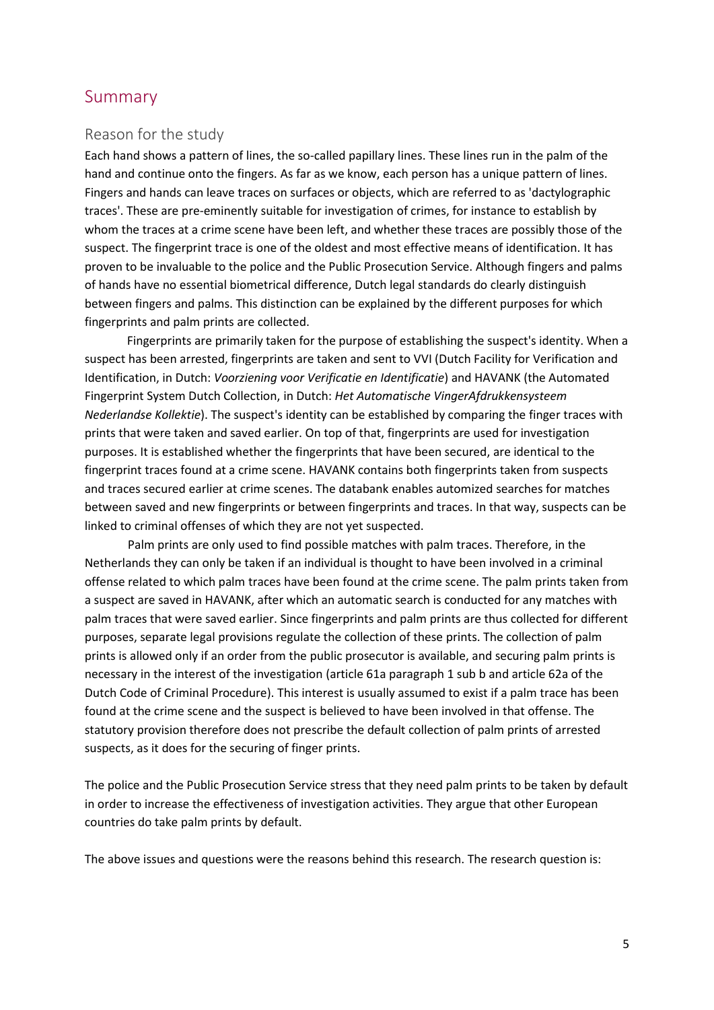### <span id="page-5-0"></span>Summary

#### <span id="page-5-1"></span>Reason for the study

Each hand shows a pattern of lines, the so-called papillary lines. These lines run in the palm of the hand and continue onto the fingers. As far as we know, each person has a unique pattern of lines. Fingers and hands can leave traces on surfaces or objects, which are referred to as 'dactylographic traces'. These are pre-eminently suitable for investigation of crimes, for instance to establish by whom the traces at a crime scene have been left, and whether these traces are possibly those of the suspect. The fingerprint trace is one of the oldest and most effective means of identification. It has proven to be invaluable to the police and the Public Prosecution Service. Although fingers and palms of hands have no essential biometrical difference, Dutch legal standards do clearly distinguish between fingers and palms. This distinction can be explained by the different purposes for which fingerprints and palm prints are collected.

Fingerprints are primarily taken for the purpose of establishing the suspect's identity. When a suspect has been arrested, fingerprints are taken and sent to VVI (Dutch Facility for Verification and Identification, in Dutch: *Voorziening voor Verificatie en Identificatie*) and HAVANK (the Automated Fingerprint System Dutch Collection, in Dutch: *Het Automatische VingerAfdrukkensysteem Nederlandse Kollektie*). The suspect's identity can be established by comparing the finger traces with prints that were taken and saved earlier. On top of that, fingerprints are used for investigation purposes. It is established whether the fingerprints that have been secured, are identical to the fingerprint traces found at a crime scene. HAVANK contains both fingerprints taken from suspects and traces secured earlier at crime scenes. The databank enables automized searches for matches between saved and new fingerprints or between fingerprints and traces. In that way, suspects can be linked to criminal offenses of which they are not yet suspected.

Palm prints are only used to find possible matches with palm traces. Therefore, in the Netherlands they can only be taken if an individual is thought to have been involved in a criminal offense related to which palm traces have been found at the crime scene. The palm prints taken from a suspect are saved in HAVANK, after which an automatic search is conducted for any matches with palm traces that were saved earlier. Since fingerprints and palm prints are thus collected for different purposes, separate legal provisions regulate the collection of these prints. The collection of palm prints is allowed only if an order from the public prosecutor is available, and securing palm prints is necessary in the interest of the investigation (article 61a paragraph 1 sub b and article 62a of the Dutch Code of Criminal Procedure). This interest is usually assumed to exist if a palm trace has been found at the crime scene and the suspect is believed to have been involved in that offense. The statutory provision therefore does not prescribe the default collection of palm prints of arrested suspects, as it does for the securing of finger prints.

The police and the Public Prosecution Service stress that they need palm prints to be taken by default in order to increase the effectiveness of investigation activities. They argue that other European countries do take palm prints by default.

The above issues and questions were the reasons behind this research. The research question is: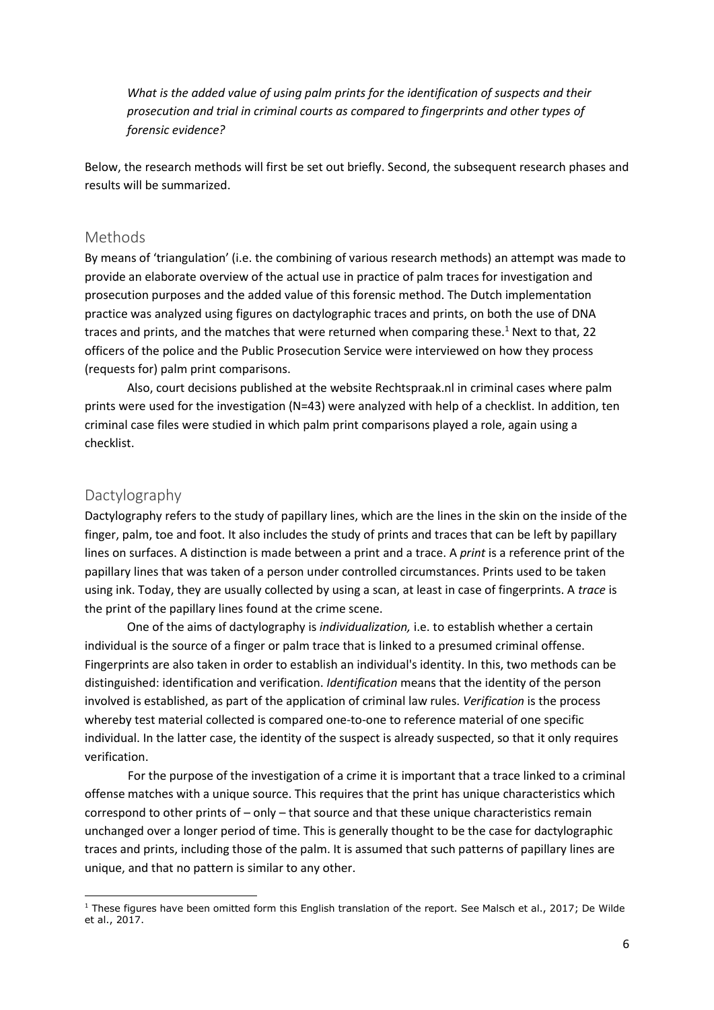*What is the added value of using palm prints for the identification of suspects and their prosecution and trial in criminal courts as compared to fingerprints and other types of forensic evidence?*

Below, the research methods will first be set out briefly. Second, the subsequent research phases and results will be summarized.

#### <span id="page-6-0"></span>Methods

By means of 'triangulation' (i.e. the combining of various research methods) an attempt was made to provide an elaborate overview of the actual use in practice of palm traces for investigation and prosecution purposes and the added value of this forensic method. The Dutch implementation practice was analyzed using figures on dactylographic traces and prints, on both the use of DNA traces and prints, and the matches that were returned when comparing these.<sup>1</sup> Next to that, 22 officers of the police and the Public Prosecution Service were interviewed on how they process (requests for) palm print comparisons.

Also, court decisions published at the website Rechtspraak.nl in criminal cases where palm prints were used for the investigation (N=43) were analyzed with help of a checklist. In addition, ten criminal case files were studied in which palm print comparisons played a role, again using a checklist.

#### <span id="page-6-1"></span>Dactylography

Dactylography refers to the study of papillary lines, which are the lines in the skin on the inside of the finger, palm, toe and foot. It also includes the study of prints and traces that can be left by papillary lines on surfaces. A distinction is made between a print and a trace. A *print* is a reference print of the papillary lines that was taken of a person under controlled circumstances. Prints used to be taken using ink. Today, they are usually collected by using a scan, at least in case of fingerprints. A *trace* is the print of the papillary lines found at the crime scene.

One of the aims of dactylography is *individualization,* i.e. to establish whether a certain individual is the source of a finger or palm trace that is linked to a presumed criminal offense. Fingerprints are also taken in order to establish an individual's identity. In this, two methods can be distinguished: identification and verification. *Identification* means that the identity of the person involved is established, as part of the application of criminal law rules. *Verification* is the process whereby test material collected is compared one-to-one to reference material of one specific individual. In the latter case, the identity of the suspect is already suspected, so that it only requires verification.

For the purpose of the investigation of a crime it is important that a trace linked to a criminal offense matches with a unique source. This requires that the print has unique characteristics which correspond to other prints of – only – that source and that these unique characteristics remain unchanged over a longer period of time. This is generally thought to be the case for dactylographic traces and prints, including those of the palm. It is assumed that such patterns of papillary lines are unique, and that no pattern is similar to any other.

<sup>&</sup>lt;sup>1</sup> These figures have been omitted form this English translation of the report. See Malsch et al., 2017; De Wilde et al., 2017.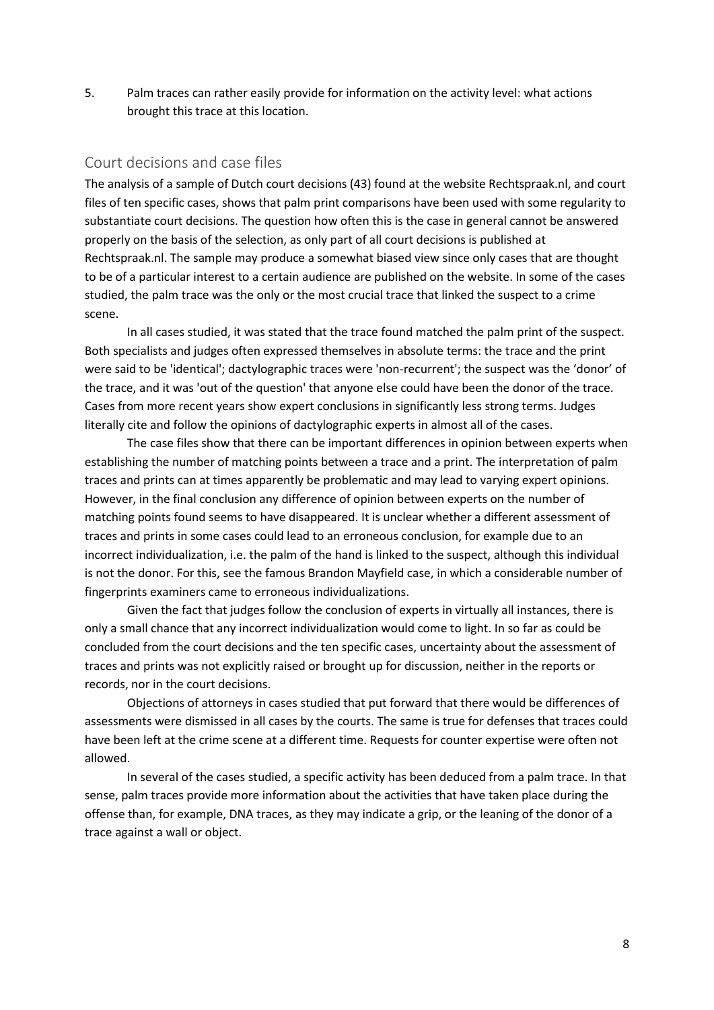5. Palm traces can rather easily provide for information on the activity level: what actions brought this trace at this location.

#### <span id="page-8-0"></span>Court decisions and case files

The analysis of a sample of Dutch court decisions (43) found at the website Rechtspraak.nl, and court files of ten specific cases, shows that palm print comparisons have been used with some regularity to substantiate court decisions. The question how often this is the case in general cannot be answered properly on the basis of the selection, as only part of all court decisions is published at Rechtspraak.nl. The sample may produce a somewhat biased view since only cases that are thought to be of a particular interest to a certain audience are published on the website. In some of the cases studied, the palm trace was the only or the most crucial trace that linked the suspect to a crime scene.

In all cases studied, it was stated that the trace found matched the palm print of the suspect. Both specialists and judges often expressed themselves in absolute terms: the trace and the print were said to be 'identical'; dactylographic traces were 'non-recurrent'; the suspect was the 'donor' of the trace, and it was 'out of the question' that anyone else could have been the donor of the trace. Cases from more recent years show expert conclusions in significantly less strong terms. Judges literally cite and follow the opinions of dactylographic experts in almost all of the cases.

The case files show that there can be important differences in opinion between experts when establishing the number of matching points between a trace and a print. The interpretation of palm traces and prints can at times apparently be problematic and may lead to varying expert opinions. However, in the final conclusion any difference of opinion between experts on the number of matching points found seems to have disappeared. It is unclear whether a different assessment of traces and prints in some cases could lead to an erroneous conclusion, for example due to an incorrect individualization, i.e. the palm of the hand is linked to the suspect, although this individual is not the donor. For this, see the famous Brandon Mayfield case, in which a considerable number of fingerprints examiners came to erroneous individualizations.

Given the fact that judges follow the conclusion of experts in virtually all instances, there is only a small chance that any incorrect individualization would come to light. In so far as could be concluded from the court decisions and the ten specific cases, uncertainty about the assessment of traces and prints was not explicitly raised or brought up for discussion, neither in the reports or records, nor in the court decisions.

Objections of attorneys in cases studied that put forward that there would be differences of assessments were dismissed in all cases by the courts. The same is true for defenses that traces could have been left at the crime scene at a different time. Requests for counter expertise were often not allowed.

In several of the cases studied, a specific activity has been deduced from a palm trace. In that sense, palm traces provide more information about the activities that have taken place during the offense than, for example, DNA traces, as they may indicate a grip, or the leaning of the donor of a trace against a wall or object.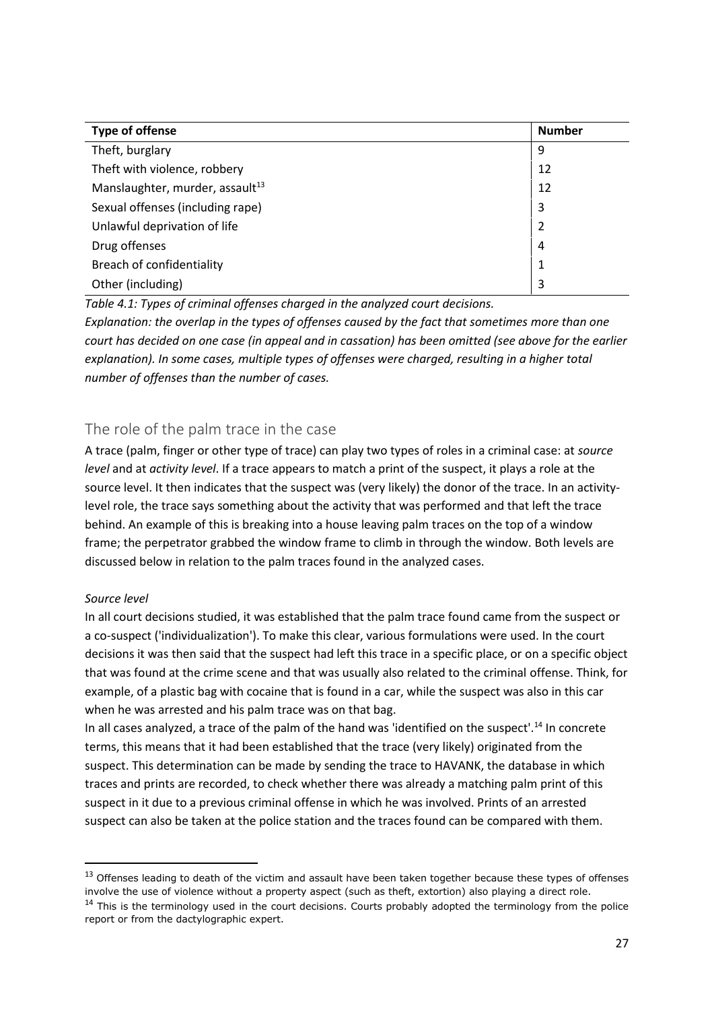|                                 | The use of palm print omparison by the ourts manufactured and the material of the 34 |
|---------------------------------|--------------------------------------------------------------------------------------|
|                                 |                                                                                      |
| Appendi 1:Exmined ourt deisions |                                                                                      |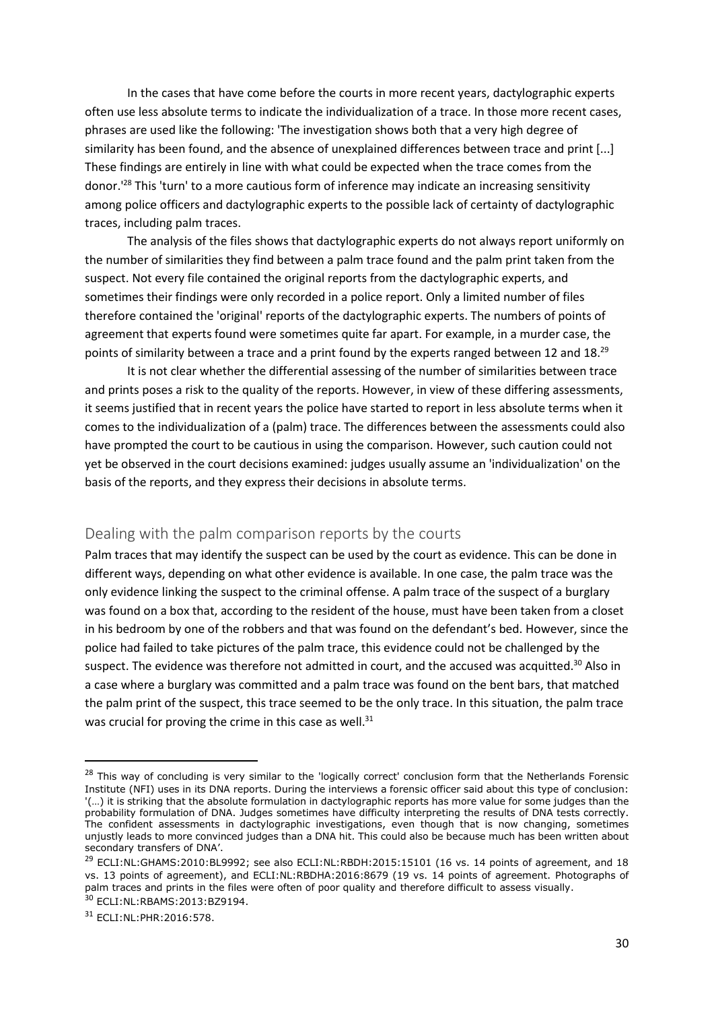# Table of contents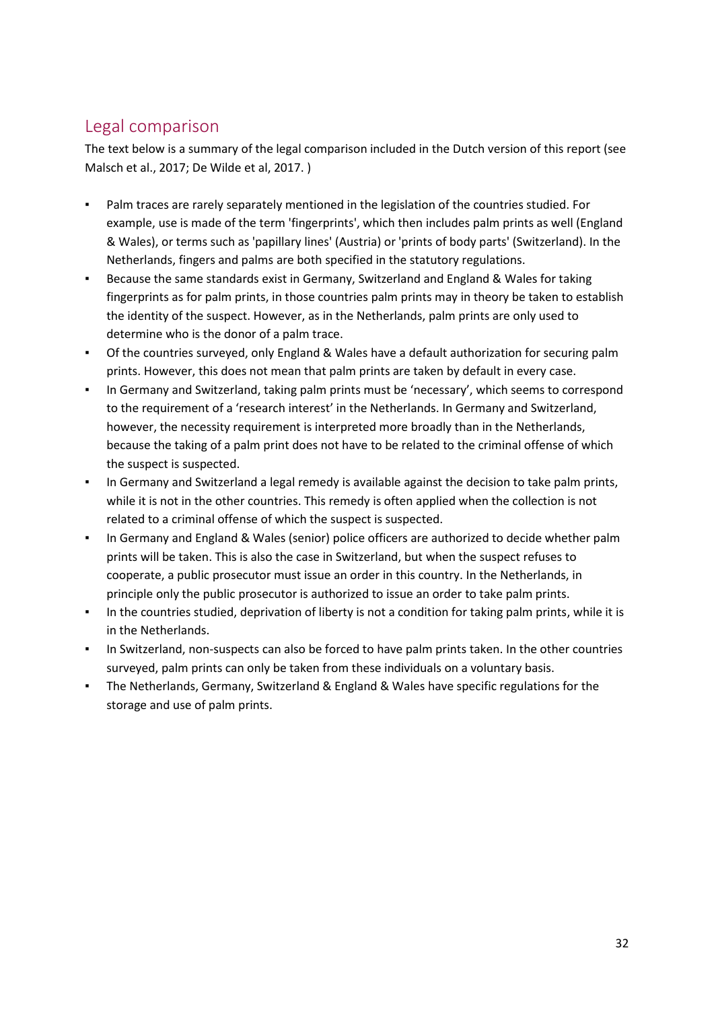# <span id="page-32-0"></span>Legal comparison

The text below is a summary of the legal comparison included in the Dutch version of this report (see Malsch et al., 2017; De Wilde et al, 2017. )

- Palm traces are rarely separately mentioned in the legislation of the countries studied. For example, use is made of the term 'fingerprints', which then includes palm prints as well (England & Wales), or terms such as 'papillary lines' (Austria) or 'prints of body parts' (Switzerland). In the Netherlands, fingers and palms are both specified in the statutory regulations.
- Because the same standards exist in Germany, Switzerland and England & Wales for taking fingerprints as for palm prints, in those countries palm prints may in theory be taken to establish the identity of the suspect. However, as in the Netherlands, palm prints are only used to determine who is the donor of a palm trace.
- Of the countries surveyed, only England & Wales have a default authorization for securing palm prints. However, this does not mean that palm prints are taken by default in every case.
- In Germany and Switzerland, taking palm prints must be 'necessary', which seems to correspond to the requirement of a 'research interest' in the Netherlands. In Germany and Switzerland, however, the necessity requirement is interpreted more broadly than in the Netherlands, because the taking of a palm print does not have to be related to the criminal offense of which the suspect is suspected.
- **·** In Germany and Switzerland a legal remedy is available against the decision to take palm prints, while it is not in the other countries. This remedy is often applied when the collection is not related to a criminal offense of which the suspect is suspected.
- In Germany and England & Wales (senior) police officers are authorized to decide whether palm prints will be taken. This is also the case in Switzerland, but when the suspect refuses to cooperate, a public prosecutor must issue an order in this country. In the Netherlands, in principle only the public prosecutor is authorized to issue an order to take palm prints.
- In the countries studied, deprivation of liberty is not a condition for taking palm prints, while it is in the Netherlands.
- In Switzerland, non-suspects can also be forced to have palm prints taken. In the other countries surveyed, palm prints can only be taken from these individuals on a voluntary basis.
- The Netherlands, Germany, Switzerland & England & Wales have specific regulations for the storage and use of palm prints.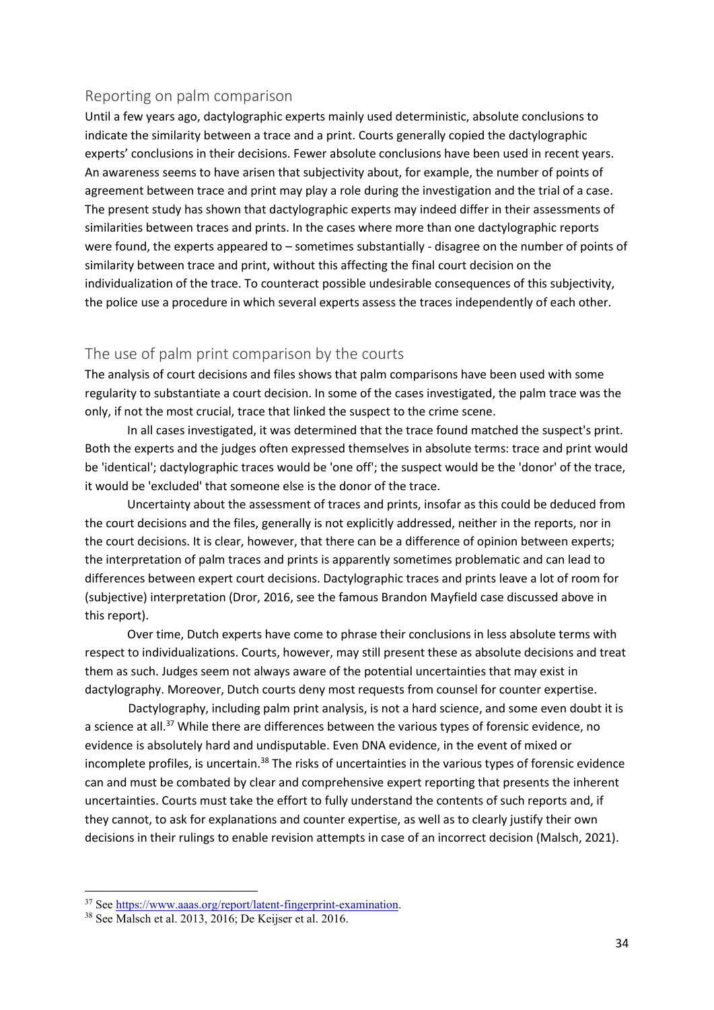#### <span id="page-34-0"></span>Reporting on palm comparison

Until a few years ago, dactylographic experts mainly used deterministic, absolute conclusions to indicate the similarity between a trace and a print. Courts generally copied the dactylographic experts' conclusions in their decisions. Fewer absolute conclusions have been used in recent years. An awareness seems to have arisen that subjectivity about, for example, the number of points of agreement between trace and print may play a role during the investigation and the trial of a case. The present study has shown that dactylographic experts may indeed differ in their assessments of similarities between traces and prints. In the cases where more than one dactylographic reports were found, the experts appeared to – sometimes substantially - disagree on the number of points of similarity between trace and print, without this affecting the final court decision on the individualization of the trace. To counteract possible undesirable consequences of this subjectivity, the police use a procedure in which several experts assess the traces independently of each other.

#### <span id="page-34-1"></span>The use of palm print comparison by the courts

The analysis of court decisions and files shows that palm comparisons have been used with some regularity to substantiate a court decision. In some of the cases investigated, the palm trace was the only, if not the most crucial, trace that linked the suspect to the crime scene.

In all cases investigated, it was determined that the trace found matched the suspect's print. Both the experts and the judges often expressed themselves in absolute terms: trace and print would be 'identical'; dactylographic traces would be 'one off'; the suspect would be the 'donor' of the trace, it would be 'excluded' that someone else is the donor of the trace.

Uncertainty about the assessment of traces and prints, insofar as this could be deduced from the court decisions and the files, generally is not explicitly addressed, neither in the reports, nor in the court decisions. It is clear, however, that there can be a difference of opinion between experts; the interpretation of palm traces and prints is apparently sometimes problematic and can lead to differences between expert court decisions. Dactylographic traces and prints leave a lot of room for (subjective) interpretation (Dror, 2016, see the famous Brandon Mayfield case discussed above in this report).

Over time, Dutch experts have come to phrase their conclusions in less absolute terms with respect to individualizations. Courts, however, may still present these as absolute decisions and treat them as such. Judges seem not always aware of the potential uncertainties that may exist in dactylography. Moreover, Dutch courts deny most requests from counsel for counter expertise.

Dactylography, including palm print analysis, is not a hard science, and some even doubt it is a science at all.<sup>37</sup> While there are differences between the various types of forensic evidence, no evidence is absolutely hard and undisputable. Even DNA evidence, in the event of mixed or incomplete profiles, is uncertain.<sup>38</sup> The risks of uncertainties in the various types of forensic evidence can and must be combated by clear and comprehensive expert reporting that presents the inherent uncertainties. Courts must take the effort to fully understand the contents of such reports and, if they cannot, to ask for explanations and counter expertise, as well as to clearly justify their own decisions in their rulings to enable revision attempts in case of an incorrect decision (Malsch, 2021).

<sup>&</sup>lt;sup>37</sup> Se[e https://www.aaas.org/report/latent-fingerprint-examinatio](https://www.aaas.org/report/latent-fingerprint-examination)n.

 $38$  See Malsch et al. 2013, 2016; De Keijser et al. 2016.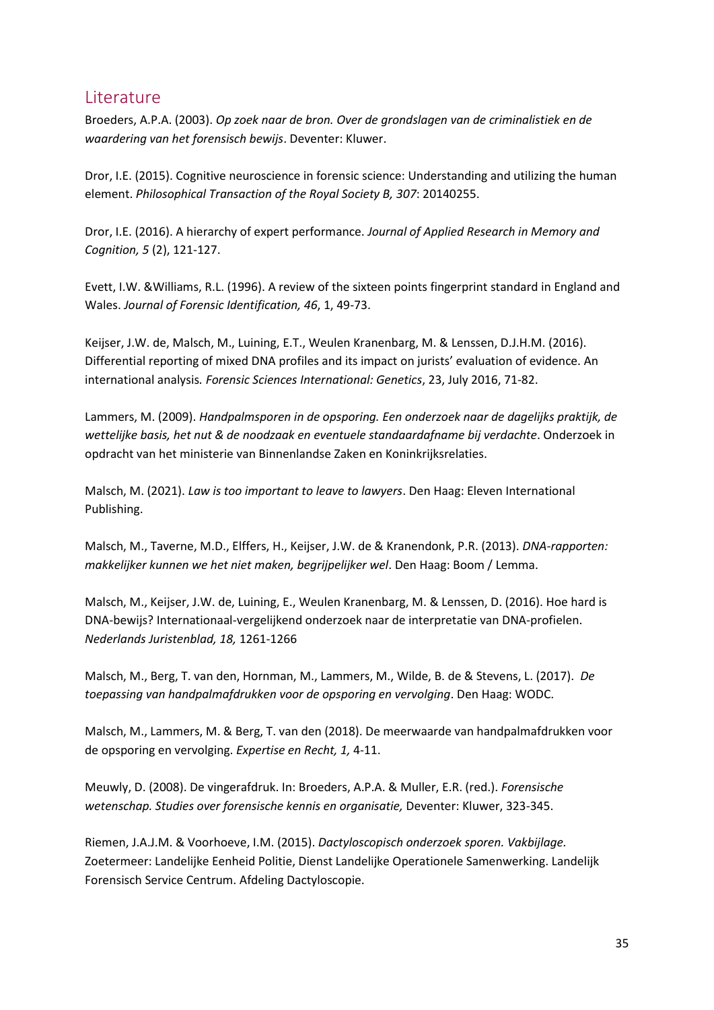## <span id="page-35-0"></span>Literature

Broeders, A.P.A. (2003). *Op zoek naar de bron. Over de grondslagen van de criminalistiek en de waardering van het forensisch bewijs*. Deventer: Kluwer.

Dror, I.E. (2015). Cognitive neuroscience in forensic science: Understanding and utilizing the human element. *Philosophical Transaction of the Royal Society B, 307*: 20140255.

Dror, I.E. (2016). A hierarchy of expert performance. *Journal of Applied Research in Memory and Cognition, 5* (2), 121-127.

Evett, I.W. &Williams, R.L. (1996). A review of the sixteen points fingerprint standard in England and Wales. *Journal of Forensic Identification, 46*, 1, 49-73.

Keijser, J.W. de, Malsch, M., Luining, E.T., Weulen Kranenbarg, M. & Lenssen, D.J.H.M. (2016). Differential reporting of mixed DNA profiles and its impact on jurists' evaluation of evidence. An international analysis*. Forensic Sciences International: Genetics*, 23, July 2016, 71-82.

Lammers, M. (2009). *Handpalmsporen in de opsporing. Een onderzoek naar de dagelijks praktijk, de wettelijke basis, het nut & de noodzaak en eventuele standaardafname bij verdachte*. Onderzoek in opdracht van het ministerie van Binnenlandse Zaken en Koninkrijksrelaties.

Malsch, M. (2021). *Law is too important to leave to lawyers*. Den Haag: Eleven International Publishing.

Malsch, M., Taverne, M.D., Elffers, H., Keijser, J.W. de & Kranendonk, P.R. (2013). *DNA-rapporten: makkelijker kunnen we het niet maken, begrijpelijker wel*. Den Haag: Boom / Lemma.

Malsch, M., Keijser, J.W. de, Luining, E., Weulen Kranenbarg, M. & Lenssen, D. (2016). Hoe hard is DNA-bewijs? Internationaal-vergelijkend onderzoek naar de interpretatie van DNA-profielen. *Nederlands Juristenblad, 18,* 1261-1266

Malsch, M., Berg, T. van den, Hornman, M., Lammers, M., Wilde, B. de & Stevens, L. (2017). *De toepassing van handpalmafdrukken voor de opsporing en vervolging*. Den Haag: WODC.

Malsch, M., Lammers, M. & Berg, T. van den (2018). De meerwaarde van handpalmafdrukken voor de opsporing en vervolging. *Expertise en Recht, 1,* 4-11.

Meuwly, D. (2008). De vingerafdruk. In: Broeders, A.P.A. & Muller, E.R. (red.). *Forensische wetenschap. Studies over forensische kennis en organisatie,* Deventer: Kluwer, 323-345.

Riemen, J.A.J.M. & Voorhoeve, I.M. (2015). *Dactyloscopisch onderzoek sporen. Vakbijlage.* Zoetermeer: Landelijke Eenheid Politie, Dienst Landelijke Operationele Samenwerking. Landelijk Forensisch Service Centrum. Afdeling Dactyloscopie.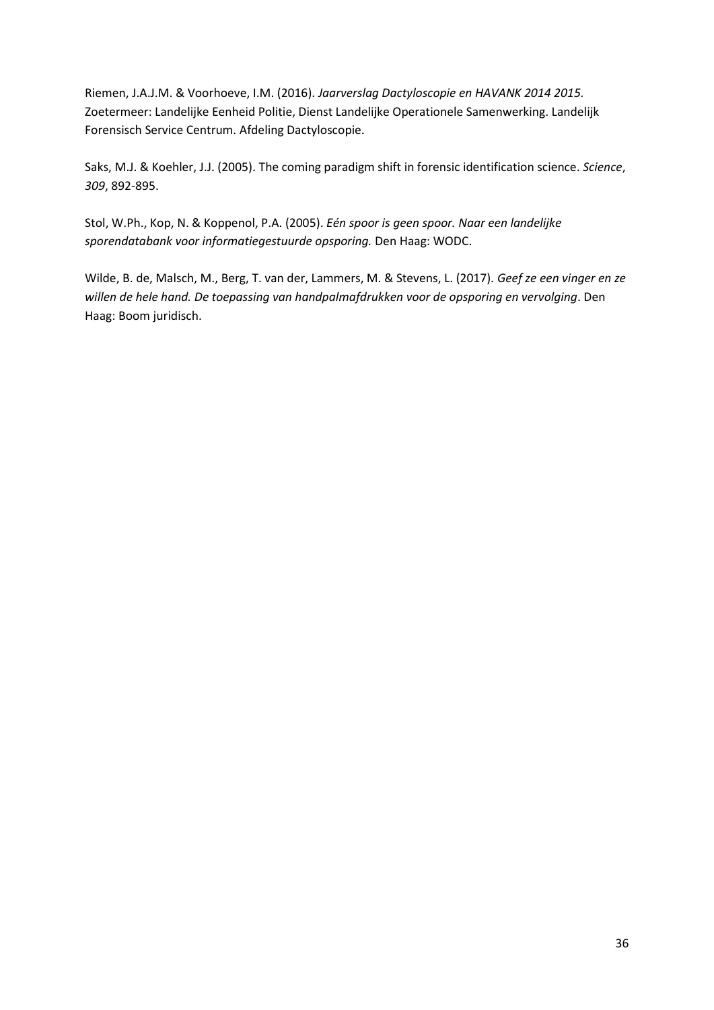Riemen, J.A.J.M. & Voorhoeve, I.M. (2016). *Jaarverslag Dactyloscopie en HAVANK 2014 2015.* Zoetermeer: Landelijke Eenheid Politie, Dienst Landelijke Operationele Samenwerking. Landelijk Forensisch Service Centrum. Afdeling Dactyloscopie.

Saks, M.J. & Koehler, J.J. (2005). The coming paradigm shift in forensic identification science. *Science*, *309*, 892-895.

Stol, W.Ph., Kop, N. & Koppenol, P.A. (2005). *Eén spoor is geen spoor. Naar een landelijke sporendatabank voor informatiegestuurde opsporing.* Den Haag: WODC.

Wilde, B. de, Malsch, M., Berg, T. van der, Lammers, M. & Stevens, L. (2017). *Geef ze een vinger en ze willen de hele hand. De toepassing van handpalmafdrukken voor de opsporing en vervolging*. Den Haag: Boom juridisch.